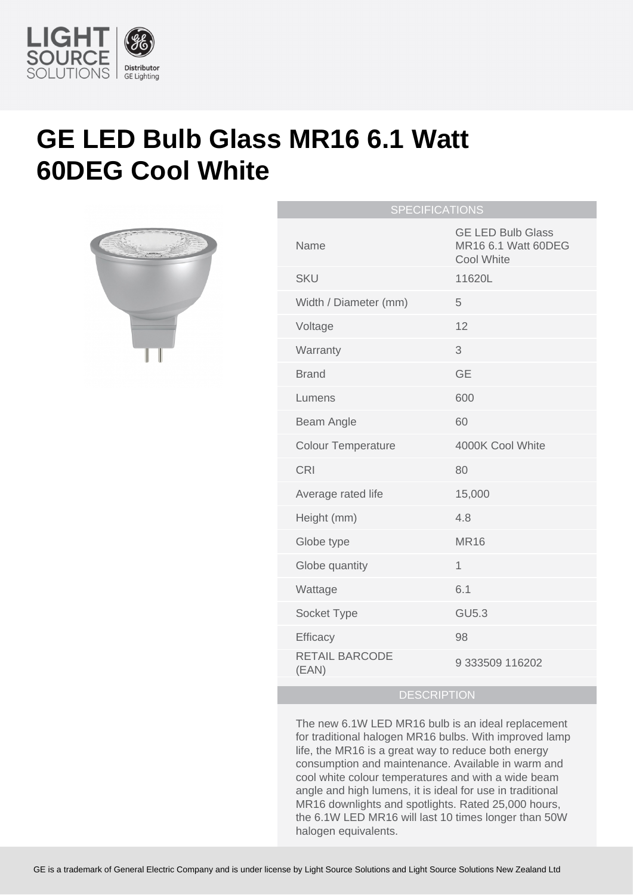

## **GE LED Bulb Glass MR16 6.1 Watt 60DEG Cool White**



| <b>SPECIFICATIONS</b> |                                |                                                               |
|-----------------------|--------------------------------|---------------------------------------------------------------|
|                       | Name                           | <b>GE LED Bulb Glass</b><br>MR16 6.1 Watt 60DEG<br>Cool White |
|                       | <b>SKU</b>                     | 11620L                                                        |
|                       | Width / Diameter (mm)          | 5                                                             |
|                       | Voltage                        | 12                                                            |
|                       | Warranty                       | 3                                                             |
|                       | <b>Brand</b>                   | <b>GE</b>                                                     |
|                       | Lumens                         | 600                                                           |
|                       | Beam Angle                     | 60                                                            |
|                       | <b>Colour Temperature</b>      | 4000K Cool White                                              |
|                       | <b>CRI</b>                     | 80                                                            |
|                       | Average rated life             | 15,000                                                        |
|                       | Height (mm)                    | 4.8                                                           |
|                       | Globe type                     | <b>MR16</b>                                                   |
|                       | Globe quantity                 | 1                                                             |
|                       | Wattage                        | 6.1                                                           |
|                       | Socket Type                    | <b>GU5.3</b>                                                  |
|                       | Efficacy                       | 98                                                            |
|                       | <b>RETAIL BARCODE</b><br>(EAN) | 9 333509 116202                                               |
|                       |                                |                                                               |

## **DESCRIPTION**

The new 6.1W LED MR16 bulb is an ideal replacement for traditional halogen MR16 bulbs. With improved lamp life, the MR16 is a great way to reduce both energy consumption and maintenance. Available in warm and cool white colour temperatures and with a wide beam angle and high lumens, it is ideal for use in traditional MR16 downlights and spotlights. Rated 25,000 hours, the 6.1W LED MR16 will last 10 times longer than 50W halogen equivalents.